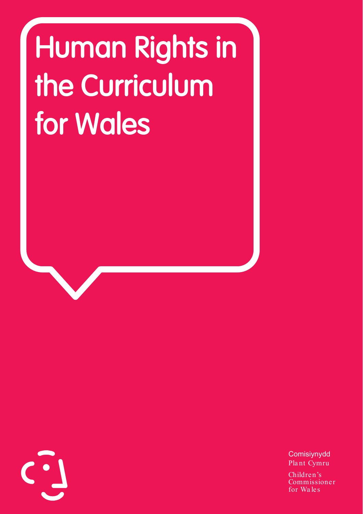# Human Rights in the Curriculum for Wales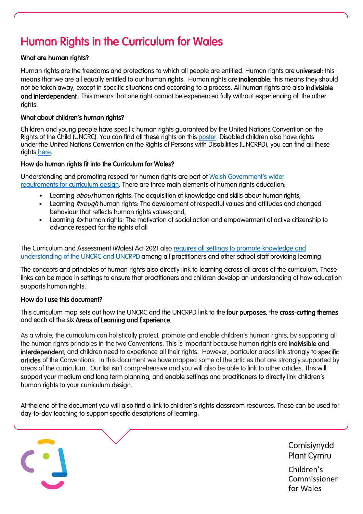# Human Rights in the Curriculum for Wales

## What are human rights?

Human rights are the freedoms and protections to which all people are entitled. Human rights are universal: this means that we are all equally entitled to our human rights. Human rights are **inalienable**: this means they should not be taken away, except in specific situations and according to a process. All human rights are also indivisible and interdependent. This means that one right cannot be experienced fully without experiencing all the other rights.

## What about children's human rights?

Children and young people have specific human rights guaranteed by the United Nations Convention on the Rights of the Child (UNCRC). You can find all these rights on thi[s poster.](https://www.childcomwales.org.uk/wp-content/uploads/2019/09/Childrens-Rights-Poster-September-2019pdf.pdf) Disabled children also have rights under the United Nations Convention on the Rights of Persons with Disabilities (UNCRPD), you can find all these rights [here.](https://www.un.org/development/desa/disabilities/convention-on-the-rights-of-persons-with-disabilities/convention-on-the-rights-of-persons-with-disabilities-2.html)

#### How do human rights fit into the Curriculum for Wales?

Understanding and promoting respect for human rights are part of [Welsh Government's wider](https://hwb.gov.wales/curriculum-for-wales/designing-your-curriculum/cross-cutting-themes-for-designing-your-curriculum/#human-rights)  [requirements for curriculum design.](https://hwb.gov.wales/curriculum-for-wales/designing-your-curriculum/cross-cutting-themes-for-designing-your-curriculum/#human-rights) There are three main elements of human rights education:

- Learning *about* human rights: The acquisition of knowledge and skills about human rights;
- Learning *through* human rights: The development of respectful values and attitudes and changed behaviour that reflects human rights values; and,
- Learning *for* human rights: The motivation of social action and empowerment of active citizenship to advance respect for the rights of all

The Curriculum and Assessment (Wales) Act 2021 also [requires all settings to promote knowledge and](https://www.legislation.gov.uk/asc/2021/4/notes/division/3/6/2)  [understanding of the UNCRC and UNCRPD](https://www.legislation.gov.uk/asc/2021/4/notes/division/3/6/2) among all practitioners and other school staff providing learning.

The concepts and principles of human rights also directly link to learning across all areas of the curriculum. These links can be made in settings to ensure that practitioners and children develop an understanding of how education supports human rights.

## How do I use this document?

j

This curriculum map sets out how the UNCRC and the UNCRPD link to the four purposes, the cross-cutting themes and each of the six Areas of Learning and Experience.

As a whole, the curriculum can holistically protect, promote and enable children's human rights, by supporting all the human rights principles in the two Conventions. This is important because human rights are indivisible and interdependent, and children need to experience all their rights. However, particular areas link strongly to specific articles of the Conventions. In this document we have mapped some of the articles that are strongly supported by areas of the curriculum. Our list isn't comprehensive and you will also be able to link to other articles. This will support your medium and long term planning, and enable settings and practitioners to directly link children's human rights to your curriculum design.

At the end of the document you will also find a link to children's rights classroom resources. These can be used for day-to-day teaching to support specific descriptions of learning.

> Comisiynydd Plant Cymru

Children's Commissioner for Wales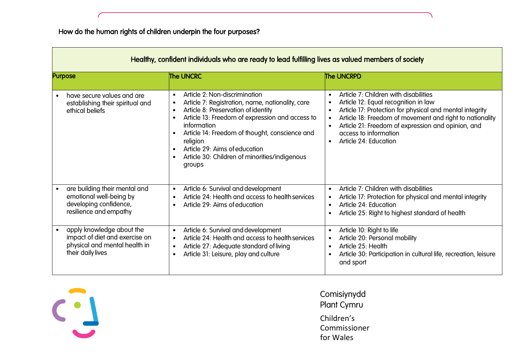| Healthy, confident individuals who are ready to lead fulfilling lives as valued members of society                             |                                                                                                                                                                                                                                                                                                                                                                                                                                                 |                                                                                                                                                                                                                                                                                                                                                                   |
|--------------------------------------------------------------------------------------------------------------------------------|-------------------------------------------------------------------------------------------------------------------------------------------------------------------------------------------------------------------------------------------------------------------------------------------------------------------------------------------------------------------------------------------------------------------------------------------------|-------------------------------------------------------------------------------------------------------------------------------------------------------------------------------------------------------------------------------------------------------------------------------------------------------------------------------------------------------------------|
| <b>Purpose</b>                                                                                                                 | <b>The UNCRC</b>                                                                                                                                                                                                                                                                                                                                                                                                                                | <b>The UNCRPD</b>                                                                                                                                                                                                                                                                                                                                                 |
| have secure values and are<br>$\bullet$<br>establishing their spiritual and<br>ethical beliefs                                 | Article 2: Non-discrimination<br>$\bullet$<br>Article 7: Registration, name, nationality, care<br>$\bullet$<br>Article 8: Preservation of identity<br>$\bullet$<br>Article 13: Freedom of expression and access to<br>$\bullet$<br>information<br>Article 14: Freedom of thought, conscience and<br>$\bullet$<br>religion<br>Article 29: Aims of education<br>$\bullet$<br>Article 30: Children of minorities/indigenous<br>$\bullet$<br>groups | Article 7: Children with disabilities<br>$\bullet$<br>Article 12: Equal recognition in law<br>Article 17: Protection for physical and mental integrity<br>$\bullet$<br>Article 18: Freedom of movement and right to nationality<br>Article 21: Freedom of expression and opinion, and<br>$\bullet$<br>access to information<br>Article 24: Education<br>$\bullet$ |
| are building their mental and<br>$\bullet$<br>emotional well-being by<br>developing confidence,<br>resilience and empathy      | Article 6: Survival and development<br>$\bullet$<br>Article 24: Health and access to health services<br>$\bullet$<br>Article 29: Aims of education<br>$\bullet$                                                                                                                                                                                                                                                                                 | Article 7: Children with disabilities<br>$\bullet$<br>Article 17: Protection for physical and mental integrity<br>$\bullet$<br>Article 24: Education<br>$\bullet$<br>Article 25: Right to highest standard of health                                                                                                                                              |
| apply knowledge about the<br>$\bullet$<br>impact of diet and exercise on<br>physical and mental health in<br>their daily lives | Article 6: Survival and development<br>$\bullet$<br>Article 24: Health and access to health services<br>$\bullet$<br>Article 27: Adequate standard of living<br>$\bullet$<br>Article 31: Leisure, play and culture<br>$\bullet$                                                                                                                                                                                                                 | Article 10: Right to life<br>$\bullet$<br>Article 20: Personal mobility<br>$\bullet$<br>Article 25: Health<br>$\bullet$<br>Article 30: Participation in cultural life, recreation, leisure<br>and sport                                                                                                                                                           |

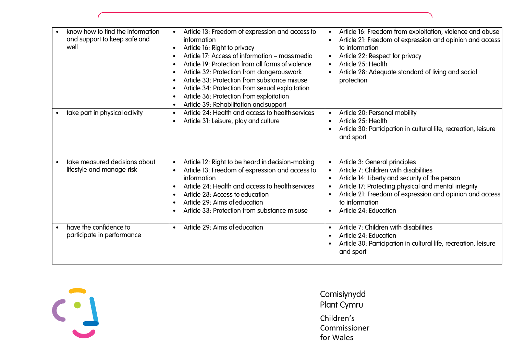| know how to find the information<br>and support to keep safe and<br>well | Article 13: Freedom of expression and access to<br>$\bullet$<br>information<br>Article 16: Right to privacy<br>$\bullet$<br>Article 17: Access of information – mass media<br>$\bullet$<br>Article 19: Protection from all forms of violence<br>$\bullet$<br>Article 32: Protection from dangerouswork<br>$\bullet$<br>Article 33: Protection from substance misuse<br>$\bullet$<br>Article 34: Protection from sexual exploitation<br>$\bullet$<br>Article 36: Protection from exploitation<br>$\bullet$<br>Article 39: Rehabilitation and support<br>$\bullet$ | Article 16: Freedom from exploitation, violence and abuse<br>$\bullet$<br>Article 21: Freedom of expression and opinion and access<br>$\bullet$<br>to information<br>Article 22: Respect for privacy<br>Article 25: Health<br>$\bullet$<br>Article 28: Adequate standard of living and social<br>protection                                 |
|--------------------------------------------------------------------------|------------------------------------------------------------------------------------------------------------------------------------------------------------------------------------------------------------------------------------------------------------------------------------------------------------------------------------------------------------------------------------------------------------------------------------------------------------------------------------------------------------------------------------------------------------------|---------------------------------------------------------------------------------------------------------------------------------------------------------------------------------------------------------------------------------------------------------------------------------------------------------------------------------------------|
| take part in physical activity                                           | Article 24: Health and access to health services<br>$\bullet$<br>Article 31: Leisure, play and culture<br>$\bullet$                                                                                                                                                                                                                                                                                                                                                                                                                                              | Article 20: Personal mobility<br>$\bullet$<br>Article 25: Health<br>Article 30: Participation in cultural life, recreation, leisure<br>and sport                                                                                                                                                                                            |
| take measured decisions about<br>lifestyle and manage risk               | Article 12: Right to be heard in decision-making<br>$\bullet$<br>Article 13: Freedom of expression and access to<br>$\bullet$<br>information<br>Article 24: Health and access to health services<br>$\bullet$<br>Article 28: Access to education<br>$\bullet$<br>Article 29: Aims of education<br>$\bullet$<br>Article 33: Protection from substance misuse<br>$\bullet$                                                                                                                                                                                         | Article 3: General principles<br>$\bullet$<br>Article 7: Children with disabilities<br>$\bullet$<br>Article 14: Liberty and security of the person<br>Article 17: Protecting physical and mental integrity<br>$\bullet$<br>Article 21: Freedom of expression and opinion and access<br>to information<br>Article 24: Education<br>$\bullet$ |
| have the confidence to<br>$\bullet$<br>participate in performance        | Article 29: Aims of education<br>$\bullet$                                                                                                                                                                                                                                                                                                                                                                                                                                                                                                                       | Article 7: Children with disabilities<br>$\bullet$<br>Article 24: Education<br>Article 30: Participation in cultural life, recreation, leisure<br>and sport                                                                                                                                                                                 |

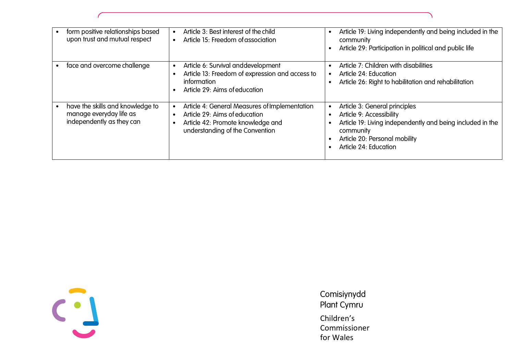| form positive relationships based<br>upon trust and mutual respect                       | Article 3: Best interest of the child<br>$\bullet$<br>Article 15: Freedom of association<br>$\bullet$                                                                                         | Article 19: Living independently and being included in the<br>$\bullet$<br>community<br>Article 29: Participation in political and public life                                                 |
|------------------------------------------------------------------------------------------|-----------------------------------------------------------------------------------------------------------------------------------------------------------------------------------------------|------------------------------------------------------------------------------------------------------------------------------------------------------------------------------------------------|
| face and overcome challenge                                                              | Article 6: Survival and development<br>$\bullet$<br>Article 13: Freedom of expression and access to<br>$\bullet$<br>information<br>Article 29: Aims of education<br>$\bullet$                 | Article 7: Children with disabilities<br>Article 24: Education<br>Article 26: Right to habilitation and rehabilitation                                                                         |
| have the skills and knowledge to<br>manage everyday life as<br>independently as they can | Article 4: General Measures of Implementation<br>$\bullet$<br>Article 29: Aims of education<br>$\bullet$<br>Article 42: Promote knowledge and<br>$\bullet$<br>understanding of the Convention | Article 3: General principles<br>Article 9: Accessibility<br>Article 19: Living independently and being included in the<br>community<br>Article 20: Personal mobility<br>Article 24: Education |

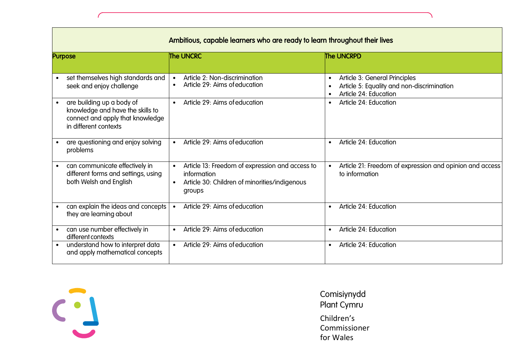| Ambitious, capable learners who are ready to learn throughout their lives                                                               |                                                                                                                                                     |                                                                                                                                             |  |
|-----------------------------------------------------------------------------------------------------------------------------------------|-----------------------------------------------------------------------------------------------------------------------------------------------------|---------------------------------------------------------------------------------------------------------------------------------------------|--|
| <b>Purpose</b>                                                                                                                          | The UNCRC                                                                                                                                           | The UNCRPD                                                                                                                                  |  |
| set themselves high standards and<br>$\bullet$<br>seek and enjoy challenge                                                              | Article 2: Non-discrimination<br>$\bullet$<br>Article 29: Aims of education                                                                         | Article 3: General Principles<br>$\bullet$<br>Article 5: Equality and non-discrimination<br>$\bullet$<br>Article 24: Education<br>$\bullet$ |  |
| are building up a body of<br>$\bullet$<br>knowledge and have the skills to<br>connect and apply that knowledge<br>in different contexts | Article 29: Aims of education<br>$\bullet$                                                                                                          | Article 24: Education<br>$\bullet$                                                                                                          |  |
| are questioning and enjoy solving<br>problems                                                                                           | Article 29: Aims of education<br>$\bullet$                                                                                                          | Article 24: Education<br>$\bullet$                                                                                                          |  |
| can communicate effectively in<br>٠<br>different forms and settings, using<br>both Welsh and English                                    | Article 13: Freedom of expression and access to<br>$\bullet$<br>information<br>Article 30: Children of minorities/indigenous<br>$\bullet$<br>groups | Article 21: Freedom of expression and opinion and access<br>$\bullet$<br>to information                                                     |  |
| can explain the ideas and concepts<br>$\bullet$<br>they are learning about                                                              | Article 29: Aims of education<br>$\bullet$                                                                                                          | Article 24: Education<br>$\bullet$                                                                                                          |  |
| can use number effectively in<br>$\bullet$<br>different contexts                                                                        | Article 29: Aims of education<br>$\bullet$                                                                                                          | Article 24: Education<br>$\bullet$                                                                                                          |  |
| understand how to interpret data<br>$\bullet$<br>and apply mathematical concepts                                                        | Article 29: Aims of education<br>$\bullet$                                                                                                          | Article 24: Education<br>$\bullet$                                                                                                          |  |

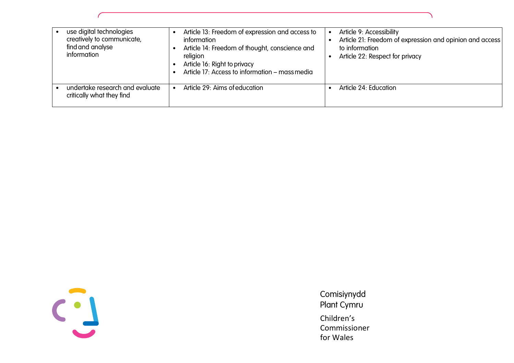| use digital technologies<br>creatively to communicate,<br>find and analyse<br>information | Article 13: Freedom of expression and access to<br>information<br>Article 14: Freedom of thought, conscience and<br>religion<br>Article 16: Right to privacy<br>Article 17: Access to information - mass media | Article 9: Accessibility<br>Article 21: Freedom of expression and opinion and access<br>to information<br>Article 22: Respect for privacy |
|-------------------------------------------------------------------------------------------|----------------------------------------------------------------------------------------------------------------------------------------------------------------------------------------------------------------|-------------------------------------------------------------------------------------------------------------------------------------------|
| undertake research and evaluate<br>critically what they find                              | Article 29: Aims of education                                                                                                                                                                                  | Article 24: Education                                                                                                                     |

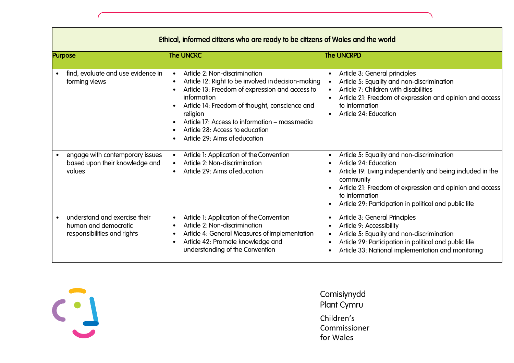| Ethical, informed citizens who are ready to be citizens of Wales and the world                    |                                                                                                                                                                                                                                                                                                                                                                                                             |                                                                                                                                                                                                                                                                                                                  |
|---------------------------------------------------------------------------------------------------|-------------------------------------------------------------------------------------------------------------------------------------------------------------------------------------------------------------------------------------------------------------------------------------------------------------------------------------------------------------------------------------------------------------|------------------------------------------------------------------------------------------------------------------------------------------------------------------------------------------------------------------------------------------------------------------------------------------------------------------|
| <b>Purpose</b>                                                                                    | <b>The UNCRC</b>                                                                                                                                                                                                                                                                                                                                                                                            | <b>The UNCRPD</b>                                                                                                                                                                                                                                                                                                |
| find, evaluate and use evidence in<br>$\bullet$<br>forming views                                  | Article 2: Non-discrimination<br>$\bullet$<br>Article 12: Right to be involved in decision-making<br>$\bullet$<br>Article 13: Freedom of expression and access to<br>$\bullet$<br>information<br>Article 14: Freedom of thought, conscience and<br>religion<br>Article 17: Access to information – mass media<br>$\bullet$<br>Article 28: Access to education<br>$\bullet$<br>Article 29: Aims of education | Article 3: General principles<br>$\bullet$<br>Article 5: Equality and non-discrimination<br>$\bullet$<br>Article 7: Children with disabilities<br>$\bullet$<br>Article 21: Freedom of expression and opinion and access<br>to information<br>Article 24: Education<br>$\bullet$                                  |
| engage with contemporary issues<br>$\bullet$<br>based upon their knowledge and<br>values          | Article 1: Application of the Convention<br>$\bullet$<br>Article 2: Non-discrimination<br>$\bullet$<br>Article 29: Aims of education<br>$\bullet$                                                                                                                                                                                                                                                           | Article 5: Equality and non-discrimination<br>$\bullet$<br>Article 24: Education<br>$\bullet$<br>Article 19: Living independently and being included in the<br>community<br>Article 21: Freedom of expression and opinion and access<br>to information<br>Article 29: Participation in political and public life |
| understand and exercise their<br>$\bullet$<br>human and democratic<br>responsibilities and rights | Article 1: Application of the Convention<br>$\bullet$<br>Article 2: Non-discrimination<br>$\bullet$<br>Article 4: General Measures of Implementation<br>$\bullet$<br>Article 42: Promote knowledge and<br>$\bullet$<br>understanding of the Convention                                                                                                                                                      | Article 3: General Principles<br>$\bullet$<br>Article 9: Accessibility<br>$\bullet$<br>Article 5: Equality and non-discrimination<br>$\bullet$<br>Article 29: Participation in political and public life<br>$\bullet$<br>Article 33: National implementation and monitoring                                      |

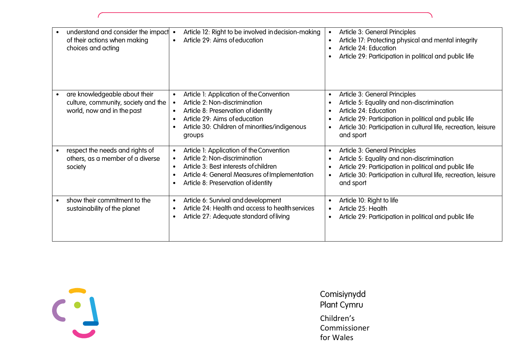| understand and consider the impact<br>$\bullet$<br>of their actions when making<br>choices and acting           | Article 12: Right to be involved in decision-making<br>Article 29: Aims of education<br>$\bullet$                                                                                                                                                   | Article 3: General Principles<br>$\bullet$<br>Article 17: Protecting physical and mental integrity<br>$\bullet$<br>Article 24: Education<br>Article 29: Participation in political and public life                                                                       |
|-----------------------------------------------------------------------------------------------------------------|-----------------------------------------------------------------------------------------------------------------------------------------------------------------------------------------------------------------------------------------------------|--------------------------------------------------------------------------------------------------------------------------------------------------------------------------------------------------------------------------------------------------------------------------|
| are knowledgeable about their<br>$\bullet$<br>culture, community, society and the<br>world, now and in the past | Article 1: Application of the Convention<br>$\bullet$<br>Article 2: Non-discrimination<br>Article 8: Preservation of identity<br>$\bullet$<br>Article 29: Aims of education<br>$\bullet$<br>Article 30: Children of minorities/indigenous<br>groups | Article 3: General Principles<br>$\bullet$<br>Article 5: Equality and non-discrimination<br>Article 24: Education<br>$\bullet$<br>Article 29: Participation in political and public life<br>Article 30: Participation in cultural life, recreation, leisure<br>and sport |
| respect the needs and rights of<br>$\bullet$<br>others, as a member of a diverse<br>society                     | Article 1: Application of the Convention<br>$\bullet$<br>Article 2: Non-discrimination<br>Article 3: Best interests of children<br>Article 4: General Measures of Implementation<br>$\bullet$<br>Article 8: Preservation of identity                | Article 3: General Principles<br>$\bullet$<br>Article 5: Equality and non-discrimination<br>Article 29: Participation in political and public life<br>Article 30: Participation in cultural life, recreation, leisure<br>$\bullet$<br>and sport                          |
| show their commitment to the<br>$\bullet$<br>sustainability of the planet                                       | Article 6: Survival and development<br>$\bullet$<br>Article 24: Health and access to health services<br>$\bullet$<br>Article 27: Adequate standard of living<br>$\bullet$                                                                           | Article 10: Right to life<br>Article 25: Health<br>Article 29: Participation in political and public life<br>٠                                                                                                                                                           |

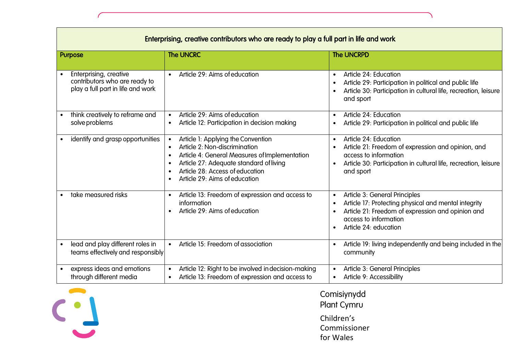| Enterprising, creative contributors who are ready to play a full part in life and work       |                                                                                                                                                                                                                                     |                                                                                                                                                                                                                                                  |
|----------------------------------------------------------------------------------------------|-------------------------------------------------------------------------------------------------------------------------------------------------------------------------------------------------------------------------------------|--------------------------------------------------------------------------------------------------------------------------------------------------------------------------------------------------------------------------------------------------|
| <b>Purpose</b>                                                                               | <b>The UNCRC</b>                                                                                                                                                                                                                    | The UNCRPD                                                                                                                                                                                                                                       |
| Enterprising, creative<br>contributors who are ready to<br>play a full part in life and work | Article 29: Aims of education<br>$\bullet$                                                                                                                                                                                          | Article 24: Education<br>$\bullet$<br>Article 29: Participation in political and public life<br>$\bullet$<br>Article 30: Participation in cultural life, recreation, leisure<br>$\bullet$<br>and sport                                           |
| think creatively to reframe and<br>solve problems                                            | Article 29: Aims of education<br>Article 12: Participation in decision making                                                                                                                                                       | Article 24: Education<br>$\bullet$<br>Article 29: Participation in political and public life<br>$\bullet$                                                                                                                                        |
| identify and grasp opportunities                                                             | Article 1: Applying the Convention<br>Article 2: Non-discrimination<br>Article 4: General Measures of Implementation<br>Article 27: Adequate standard of living<br>Article 28: Access of education<br>Article 29: Aims of education | Article 24: Education<br>$\bullet$<br>Article 21: Freedom of expression and opinion, and<br>$\bullet$<br>access to information<br>Article 30: Participation in cultural life, recreation, leisure<br>$\bullet$<br>and sport                      |
| take measured risks                                                                          | Article 13: Freedom of expression and access to<br>$\bullet$<br>information<br>Article 29: Aims of education                                                                                                                        | Article 3: General Principles<br>$\bullet$<br>Article 17: Protecting physical and mental integrity<br>$\bullet$<br>Article 21: Freedom of expression and opinion and<br>$\bullet$<br>access to information<br>Article 24: education<br>$\bullet$ |
| lead and play different roles in<br>teams effectively and responsibly                        | Article 15: Freedom of association                                                                                                                                                                                                  | Article 19: living independently and being included in the<br>$\bullet$<br>community                                                                                                                                                             |
| express ideas and emotions<br>through different media                                        | Article 12: Right to be involved in decision-making<br>Article 13: Freedom of expression and access to                                                                                                                              | Article 3: General Principles<br>$\bullet$<br>Article 9: Accessibility<br>$\bullet$                                                                                                                                                              |



 $\mathbf{r}$ 

# Comisiynydd Plant Cymru Children's Commissioner

for Wales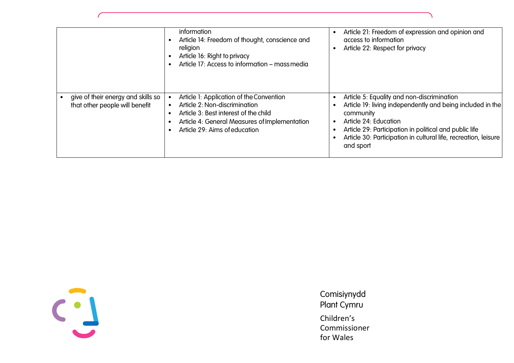|                                                                      | information<br>Article 14: Freedom of thought, conscience and<br>religion<br>Article 16: Right to privacy<br>Article 17: Access to information – mass media                                          | Article 21: Freedom of expression and opinion and<br>$\bullet$<br>access to information<br>Article 22: Respect for privacy<br>$\bullet$                                                                                                                                                                            |
|----------------------------------------------------------------------|------------------------------------------------------------------------------------------------------------------------------------------------------------------------------------------------------|--------------------------------------------------------------------------------------------------------------------------------------------------------------------------------------------------------------------------------------------------------------------------------------------------------------------|
| give of their energy and skills so<br>that other people will benefit | Article 1: Application of the Convention<br>Article 2: Non-discrimination<br>Article 3: Best interest of the child<br>Article 4: General Measures of Implementation<br>Article 29: Aims of education | Article 5: Equality and non-discrimination<br>$\bullet$<br>Article 19: living independently and being included in the<br>community<br>Article 24: Education<br>$\bullet$<br>Article 29: Participation in political and public life<br>Article 30: Participation in cultural life, recreation, leisure<br>and sport |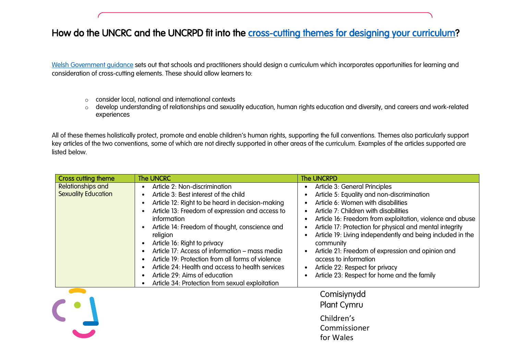# How do the UNCRC and the UNCRPD fit into the [cross-cutting themes for designing your curriculum?](https://hwb.gov.wales/curriculum-for-wales/designing-your-curriculum/cross-cutting-themes-for-designing-your-curriculum/)

[Welsh Government guidance](https://hwb.gov.wales/curriculum-for-wales/designing-your-curriculum/cross-cutting-themes-for-designing-your-curriculum/) sets out that schools and practitioners should design a curriculum which incorporates opportunities for learning and consideration of cross-cutting elements. These should allow learners to:

- o consider local, national and international contexts
- o develop understanding of relationships and sexuality education, human rights education and diversity, and careers and work-related experiences

All of these themes holistically protect, promote and enable children's human rights, supporting the full conventions. Themes also particularly support key articles of the two conventions, some of which are not directly supported in other areas of the curriculum. Examples of the articles supported are listed below.

| <b>Cross cutting theme</b>               | <b>The UNCRC</b>                                                                                                                                                                                                                                                                                                                                                                                                                                                                                                                                 | <b>The UNCRPD</b>                                                                                                                                                                                                                                                                                                                                                                                                                                                                                                              |
|------------------------------------------|--------------------------------------------------------------------------------------------------------------------------------------------------------------------------------------------------------------------------------------------------------------------------------------------------------------------------------------------------------------------------------------------------------------------------------------------------------------------------------------------------------------------------------------------------|--------------------------------------------------------------------------------------------------------------------------------------------------------------------------------------------------------------------------------------------------------------------------------------------------------------------------------------------------------------------------------------------------------------------------------------------------------------------------------------------------------------------------------|
| Relationships and<br>Sexuality Education | Article 2: Non-discrimination<br>Article 3: Best interest of the child<br>Article 12: Right to be heard in decision-making<br>Article 13: Freedom of expression and access to<br><i>information</i><br>Article 14: Freedom of thought, conscience and<br>religion<br>Article 16: Right to privacy<br>Article 17: Access of information – mass media<br>Article 19: Protection from all forms of violence<br>Article 24: Health and access to health services<br>Article 29: Aims of education<br>Article 34: Protection from sexual exploitation | Article 3: General Principles<br>Article 5: Equality and non-discrimination<br>Article 6: Women with disabilities<br>Article 7: Children with disabilities<br>Article 16: Freedom from exploitation, violence and abuse<br>Article 17: Protection for physical and mental integrity<br>Article 19: Living independently and being included in the<br>community<br>Article 21: Freedom of expression and opinion and<br>access to information<br>Article 22: Respect for privacy<br>Article 23: Respect for home and the family |
|                                          |                                                                                                                                                                                                                                                                                                                                                                                                                                                                                                                                                  | Comisiynydd<br>Plant Cymru<br>Children's<br>Commissioner<br>for Wales                                                                                                                                                                                                                                                                                                                                                                                                                                                          |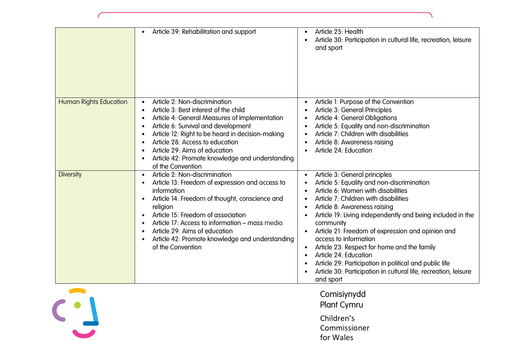|                               | Article 39: Rehabilitation and support<br>$\bullet$                                                                                                                                                                                                                                                                                                                                                                             | Article 25: Health<br>$\bullet$<br>Article 30: Participation in cultural life, recreation, leisure<br>$\bullet$<br>and sport                                                                                                                                                                                                                                                                                                                                                                                                                                                                                                                                                  |
|-------------------------------|---------------------------------------------------------------------------------------------------------------------------------------------------------------------------------------------------------------------------------------------------------------------------------------------------------------------------------------------------------------------------------------------------------------------------------|-------------------------------------------------------------------------------------------------------------------------------------------------------------------------------------------------------------------------------------------------------------------------------------------------------------------------------------------------------------------------------------------------------------------------------------------------------------------------------------------------------------------------------------------------------------------------------------------------------------------------------------------------------------------------------|
| <b>Human Rights Education</b> | Article 2: Non-discrimination<br>Article 3: Best interest of the child<br>$\bullet$<br>Article 4: General Measures of Implementation<br>$\bullet$<br>Article 6: Survival and development<br>$\bullet$<br>Article 12: Right to be heard in decision-making<br>$\bullet$<br>Article 28: Access to education<br>Article 29: Aims of education<br>Article 42: Promote knowledge and understanding<br>$\bullet$<br>of the Convention | Article 1: Purpose of the Convention<br>$\bullet$<br>Article 3: General Principles<br>$\bullet$<br>Article 4: General Obligations<br>$\bullet$<br>Article 5: Equality and non-discrimination<br>Article 7: Children with disabilities<br>Article 8: Awareness raising<br>$\bullet$<br>Article 24: Education<br>$\bullet$                                                                                                                                                                                                                                                                                                                                                      |
| <b>Diversity</b>              | Article 2: Non-discrimination<br>$\bullet$<br>Article 13: Freedom of expression and access to<br>$\bullet$<br>information<br>Article 14: Freedom of thought, conscience and<br>$\bullet$<br>religion<br>Article 15: Freedom of association<br>$\bullet$<br>Article 17: Access to information – mass media<br>Article 29: Aims of education<br>Article 42: Promote knowledge and understanding<br>of the Convention              | Article 3: General principles<br>$\bullet$<br>Article 5: Equality and non-discrimination<br>$\bullet$<br>Article 6: Women with disabilities<br>$\bullet$<br>Article 7: Children with disabilities<br>$\bullet$<br>Article 8: Awareness raising<br>$\bullet$<br>Article 19: Living independently and being included in the<br>community<br>Article 21: Freedom of expression and opinion and<br>$\bullet$<br>access to information<br>Article 23: Respect for home and the family<br>Article 24: Education<br>$\bullet$<br>Article 29: Participation in political and public life<br>$\bullet$<br>Article 30: Participation in cultural life, recreation, leisure<br>and sport |
|                               |                                                                                                                                                                                                                                                                                                                                                                                                                                 | Comisiynydd<br>Plant Cymru<br>Children's<br>Commissioner<br>for Wales                                                                                                                                                                                                                                                                                                                                                                                                                                                                                                                                                                                                         |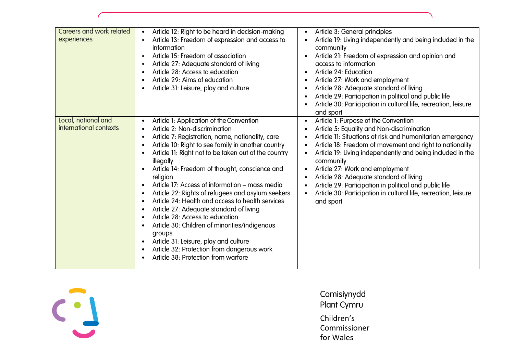| Careers and work related<br>experiences       | Article 12: Right to be heard in decision-making<br>$\bullet$<br>Article 13: Freedom of expression and access to<br>$\bullet$<br>information<br>Article 15: Freedom of association<br>$\bullet$<br>Article 27: Adequate standard of living<br>$\bullet$<br>Article 28: Access to education<br>$\bullet$<br>Article 29: Aims of education<br>$\bullet$<br>Article 31: Leisure, play and culture<br>$\bullet$                                                                                                                                                                                                                                                                                                                                                                                                                                                                                                                       | Article 3: General principles<br>$\bullet$<br>Article 19: Living independently and being included in the<br>community<br>Article 21: Freedom of expression and opinion and<br>access to information<br>Article 24: Education<br>$\bullet$<br>Article 27: Work and employment<br>Article 28: Adequate standard of living<br>$\bullet$<br>Article 29: Participation in political and public life<br>Article 30: Participation in cultural life, recreation, leisure<br>and sport                                                                                                  |
|-----------------------------------------------|-----------------------------------------------------------------------------------------------------------------------------------------------------------------------------------------------------------------------------------------------------------------------------------------------------------------------------------------------------------------------------------------------------------------------------------------------------------------------------------------------------------------------------------------------------------------------------------------------------------------------------------------------------------------------------------------------------------------------------------------------------------------------------------------------------------------------------------------------------------------------------------------------------------------------------------|---------------------------------------------------------------------------------------------------------------------------------------------------------------------------------------------------------------------------------------------------------------------------------------------------------------------------------------------------------------------------------------------------------------------------------------------------------------------------------------------------------------------------------------------------------------------------------|
| Local, national and<br>international contexts | Article 1: Application of the Convention<br>$\bullet$<br>Article 2: Non-discrimination<br>$\bullet$<br>Article 7: Registration, name, nationality, care<br>$\bullet$<br>Article 10: Right to see family in another country<br>$\bullet$<br>Article 11: Right not to be taken out of the country<br>$\bullet$<br>illegally<br>Article 14: Freedom of thought, conscience and<br>$\bullet$<br>religion<br>Article 17: Access of information - mass media<br>$\bullet$<br>Article 22: Rights of refugees and asylum seekers<br>$\bullet$<br>Article 24: Health and access to health services<br>$\bullet$<br>Article 27: Adequate standard of living<br>$\bullet$<br>Article 28: Access to education<br>$\bullet$<br>Article 30: Children of minorities/indigenous<br>groups<br>Article 31: Leisure, play and culture<br>$\bullet$<br>Article 32: Protection from dangerous work<br>$\bullet$<br>Article 38: Protection from warfare | Article 1: Purpose of the Convention<br>$\bullet$<br>Article 5: Equality and Non-discrimination<br>$\bullet$<br>Article 11: Situations of risk and humanitarian emergency<br>Article 18: Freedom of movement and right to nationality<br>Article 19: Living independently and being included in the<br>$\bullet$<br>community<br>Article 27: Work and employment<br>$\bullet$<br>Article 28: Adequate standard of living<br>Article 29: Participation in political and public life<br>Article 30: Participation in cultural life, recreation, leisure<br>$\bullet$<br>and sport |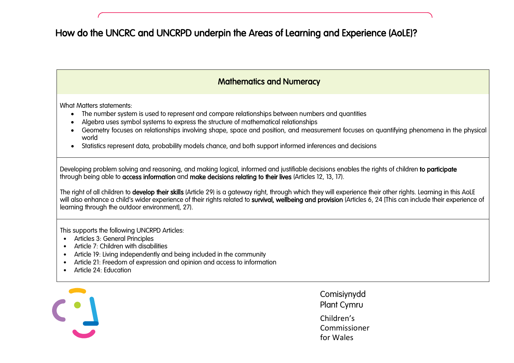# How do the UNCRC and UNCRPD underpin the Areas of Learning and Experience (AoLE)?

## Mathematics and Numeracy

What Matters statements:

- The number system is used to represent and compare relationships between numbers and quantities
- Algebra uses symbol systems to express the structure of mathematical relationships
- Geometry focuses on relationships involving shape, space and position, and measurement focuses on quantifying phenomena in the physical world
- Statistics represent data, probability models chance, and both support informed inferences and decisions

Developing problem solving and reasoning, and making logical, informed and justifiable decisions enables the rights of children to participate through being able to access information and make decisions relating to their lives (Articles 12, 13, 17).

The right of all children to develop their skills (Article 29) is a gateway right, through which they will experience their other rights. Learning in this AoLE will also enhance a child's wider experience of their rights related to survival, wellbeing and provision (Articles 6, 24 [This can include their experience of learning through the outdoor environment], 27).

This supports the following UNCRPD Articles:

- Articles 3: General Principles
- Article 7: Children with disabilities
- Article 19: Living independently and being included in the community
- Article 21: Freedom of expression and opinion and access to information
- Article 24: Education

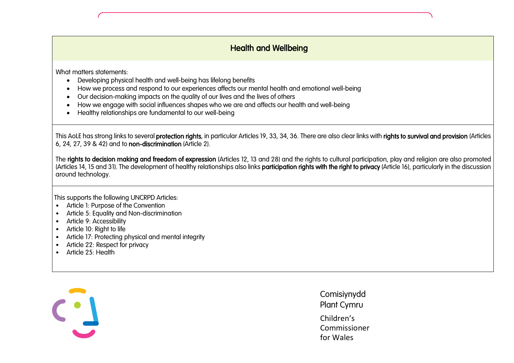#### l<br>. Health and Wellbeing

What matters statements:

- Developing physical health and well-being has lifelong benefits
- How we process and respond to our experiences affects our mental health and emotional well-being
- Our decision-making impacts on the quality of our lives and the lives of others
- How we engage with social influences shapes who we are and affects our health and well-being
- Healthy relationships are fundamental to our well-being

This AoLE has strong links to several protection rights, in particular Articles 19, 33, 34, 36. There are also clear links with rights to survival and provision (Articles 6, 24, 27, 39 & 42) and to non-discrimination (Article 2).

The rights to decision making and freedom of expression (Articles 12, 13 and 28) and the rights to cultural participation, play and religion are also promoted (Articles 14, 15 and 31). The development of healthy relationships also links **participation rights with the right to privacy** (Article 16), particularly in the discussion around technology.

This supports the following UNCRPD Articles:

- Article 1: Purpose of the Convention
- Article 5: Equality and Non-discrimination
- Article 9: Accessibility
- Article 10: Right to life
- Article 17: Protecting physical and mental integrity
- Article 22: Respect for privacy
- Article 25: Health

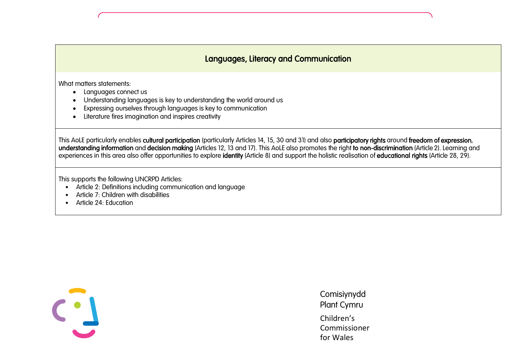# Languages, Literacy and Communication

What matters statements:

 $\overline{\phantom{a}}$ 

 $\overline{\phantom{a}}$ 

- Languages connect us
- Understanding languages is key to understanding the world around us
- Expressing ourselves through languages is key to communication
- Literature fires imagination and inspires creativity

This AoLE particularly enables cultural participation (particularly Articles 14, 15, 30 and 31) and also participatory rights around freedom of expression, understanding information and decision making (Articles 12, 13 and 17). This AoLE also promotes the right to non-discrimination (Article 2). Learning and experiences in this area also offer opportunities to explore identity (Article 8) and support the holistic realisation of educational rights (Article 28, 29).

This supports the following UNCRPD Articles:

- Article 2: Definitions including communication and language
- Article 7: Children with disabilities
- Article 24: Education

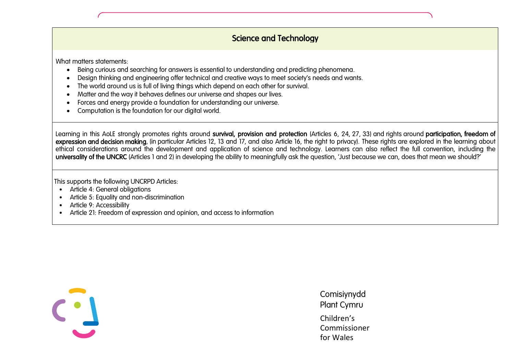#### l, Science and Technology

What matters statements:

- Being curious and searching for answers is essential to understanding and predicting phenomena.
- Design thinking and engineering offer technical and creative ways to meet society's needs and wants.
- The world around us is full of living things which depend on each other for survival.
- Matter and the way it behaves defines our universe and shapes our lives.
- Forces and energy provide a foundation for understanding our universe.
- Computation is the foundation for our digital world.

Learning in this AoLE strongly promotes rights around survival, provision and protection (Articles 6, 24, 27, 33) and rights around participation, freedom of expression and decision making, (in particular Articles 12, 13 and 17, and also Article 16, the right to privacy). These rights are explored in the learning about ethical considerations around the development and application of science and technology. Learners can also reflect the full convention, including the universality of the UNCRC (Articles 1 and 2) in developing the ability to meaningfully ask the question, 'Just because we can, does that mean we should?'

This supports the following UNCRPD Articles:

- Article 4: General obligations
- Article 5: Equality and non-discrimination
- Article 9: Accessibility
- Article 21: Freedom of expression and opinion, and access to information

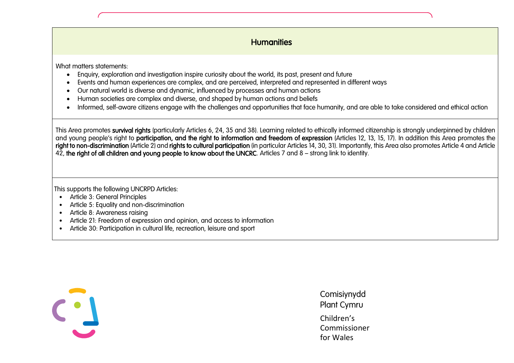## **Humanities**

What matters statements:

- Enauiry, exploration and investigation inspire curiosity about the world, its past, present and future
- Events and human experiences are complex, and are perceived, interpreted and represented in different ways
- Our natural world is diverse and dynamic, influenced by processes and human actions
- Human societies are complex and diverse, and shaped by human actions and beliefs
- Informed, self-aware citizens engage with the challenges and opportunities that face humanity, and are able to take considered and ethical action

This Area promotes survival rights (particularly Articles 6, 24, 35 and 38). Learning related to ethically informed citizenship is stronaly underpinned by children and young people's right to **participation, and the right to information and freedom of expression** (Articles 12, 13, 15, 17). In addition this Area promotes the right to non-discrimination (Article 2) and rights to cultural participation (in particular Articles 14, 30, 31). Importantly, this Area also promotes Article 4 and Article 42, the right of all children and young people to know about the UNCRC. Articles 7 and 8 – strong link to identity.

This supports the following UNCRPD Articles:

- Article 3: General Principles
- Article 5: Equality and non-discrimination
- Article 8: Awareness raising
- Article 21: Freedom of expression and opinion, and access to information
- Article 30: Participation in cultural life, recreation, leisure and sport